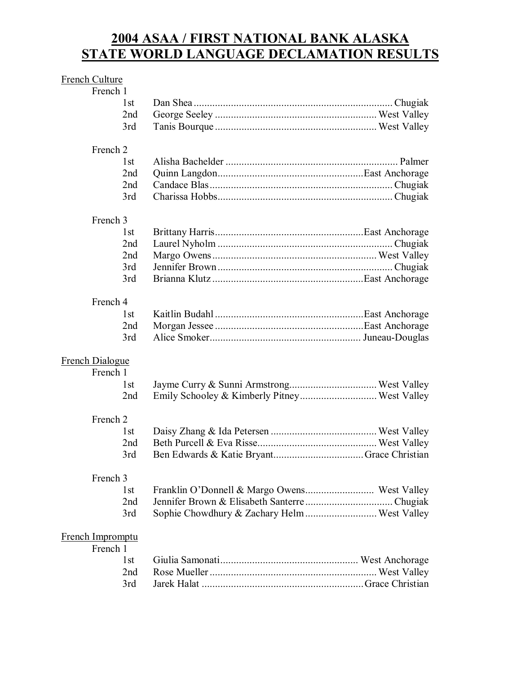# **2004 ASAA / FIRST NATIONAL BANK ALASKA STATE WORLD LANGUAGE DECLAMATION RESULTS**

#### French Culture

#### French 2

# French 3

# French 4

# French Dialogue

| French 1 |  |
|----------|--|
| l st     |  |
| 2nd      |  |
|          |  |

#### French 2

# French 3

## French Impromptu

# French 1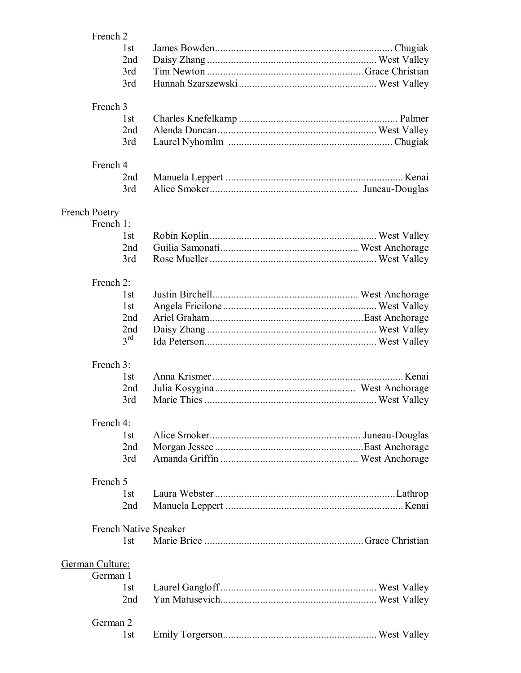| French 2                          | 1st<br>2 <sub>nd</sub><br>3rd<br>3rd                    |                       |  |
|-----------------------------------|---------------------------------------------------------|-----------------------|--|
| French 3                          | 1st<br>2nd<br>3rd                                       |                       |  |
| French 4                          | 2nd<br>3rd                                              |                       |  |
| <b>French Poetry</b><br>French 1: | 1st<br>2nd<br>3rd                                       |                       |  |
| French 2:                         | 1 <sub>st</sub><br>1st<br>2nd<br>2nd<br>$3^{\text{rd}}$ |                       |  |
| French 3:                         | 1st<br>2 <sub>nd</sub><br>3rd                           |                       |  |
| French 4:                         | 1st<br>2nd<br>3rd                                       |                       |  |
| French 5                          | 1st<br>2 <sub>nd</sub>                                  |                       |  |
|                                   | 1st                                                     | French Native Speaker |  |
| German Culture:                   |                                                         |                       |  |
| German 1                          | 1st<br>2 <sub>nd</sub>                                  |                       |  |
| German 2                          | 1 <sub>st</sub>                                         |                       |  |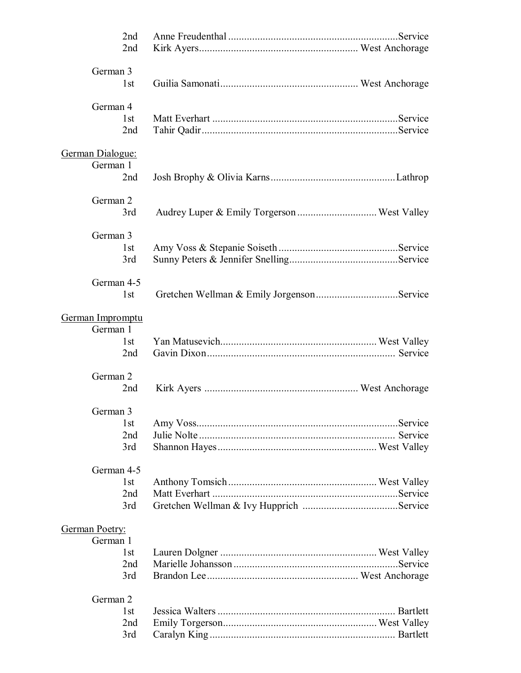| 2nd<br>2nd             |  |
|------------------------|--|
| German 3<br>1st        |  |
| German 4<br>1st<br>2nd |  |
| German Dialogue:       |  |
| German 1<br>2nd        |  |
| German 2<br>3rd        |  |
| German 3               |  |
| 1st<br>3rd             |  |
| German 4-5<br>1st      |  |
| German Impromptu       |  |
| German 1               |  |
| 1st<br>2nd             |  |
| German 2<br>2nd        |  |
| German 3               |  |
| 1st<br>2nd             |  |
| 3rd                    |  |
| German 4-5             |  |
| 1st<br>2nd             |  |
| 3rd                    |  |
| German Poetry:         |  |
| German 1<br>1st        |  |
| 2nd                    |  |
| 3rd                    |  |
| German 2               |  |
| 1st                    |  |
| 2 <sub>nd</sub><br>3rd |  |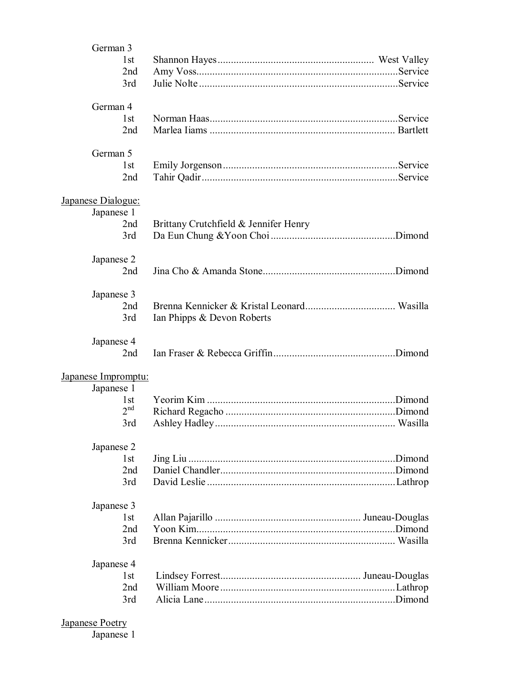| German 3<br>1st                         |                                       |  |
|-----------------------------------------|---------------------------------------|--|
| 2nd                                     |                                       |  |
| 3rd                                     |                                       |  |
| German 4                                |                                       |  |
| 1st                                     |                                       |  |
| 2nd                                     |                                       |  |
| German 5                                |                                       |  |
| 1st<br>2nd                              |                                       |  |
|                                         |                                       |  |
| <b>Japanese Dialogue:</b><br>Japanese 1 |                                       |  |
| 2nd                                     | Brittany Crutchfield & Jennifer Henry |  |
| 3rd                                     |                                       |  |
| Japanese 2                              |                                       |  |
| 2nd                                     |                                       |  |
| Japanese 3                              |                                       |  |
| 2nd                                     |                                       |  |
| 3rd                                     | Ian Phipps & Devon Roberts            |  |
| Japanese 4                              |                                       |  |
| 2nd                                     |                                       |  |
| Japanese Impromptu:                     |                                       |  |
| Japanese 1<br>1st                       |                                       |  |
| 2 <sup>nd</sup>                         |                                       |  |
| 3rd                                     |                                       |  |
| Japanese 2                              |                                       |  |
| 1st                                     |                                       |  |
| 2nd                                     |                                       |  |
| 3rd                                     |                                       |  |
| Japanese 3                              |                                       |  |
| 1st                                     |                                       |  |
| 2nd                                     |                                       |  |
| 3rd                                     |                                       |  |
| Japanese 4                              |                                       |  |
| 1 <sub>st</sub><br>2nd                  |                                       |  |
| 3rd                                     |                                       |  |
|                                         |                                       |  |

#### **Japanese Poetry**

Japanese 1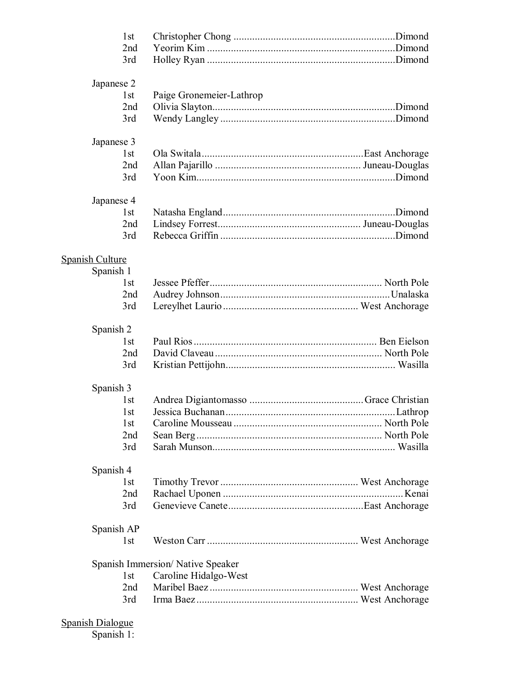| 1 <sub>st</sub>        |                                  |  |
|------------------------|----------------------------------|--|
| 2nd                    |                                  |  |
| 3rd                    |                                  |  |
|                        |                                  |  |
| Japanese 2             |                                  |  |
| 1 <sub>st</sub>        | Paige Gronemeier-Lathrop         |  |
| 2nd                    |                                  |  |
| 3rd                    |                                  |  |
| Japanese 3             |                                  |  |
| 1 <sub>st</sub>        |                                  |  |
| 2nd                    |                                  |  |
| 3rd                    |                                  |  |
|                        |                                  |  |
| Japanese 4             |                                  |  |
| 1st                    |                                  |  |
| 2nd                    |                                  |  |
| 3rd                    |                                  |  |
| <b>Spanish Culture</b> |                                  |  |
| Spanish 1              |                                  |  |
| 1 <sub>st</sub>        |                                  |  |
| 2nd                    |                                  |  |
| 3rd                    |                                  |  |
|                        |                                  |  |
| Spanish 2              |                                  |  |
| 1 <sub>st</sub>        |                                  |  |
| 2nd                    |                                  |  |
| 3rd                    |                                  |  |
|                        |                                  |  |
| Spanish 3              |                                  |  |
| 1st                    |                                  |  |
| 1st                    |                                  |  |
| 1st                    |                                  |  |
| 2nd                    |                                  |  |
| 3rd                    |                                  |  |
| Spanish 4              |                                  |  |
| 1st                    |                                  |  |
| 2nd                    |                                  |  |
| 3rd                    |                                  |  |
|                        |                                  |  |
| Spanish AP             |                                  |  |
| 1st                    |                                  |  |
|                        | Spanish Immersion/Native Speaker |  |
| 1st                    |                                  |  |
| 2nd                    | Caroline Hidalgo-West            |  |
| 3rd                    |                                  |  |
|                        |                                  |  |

#### Spanish Dialogue

Spanish 1: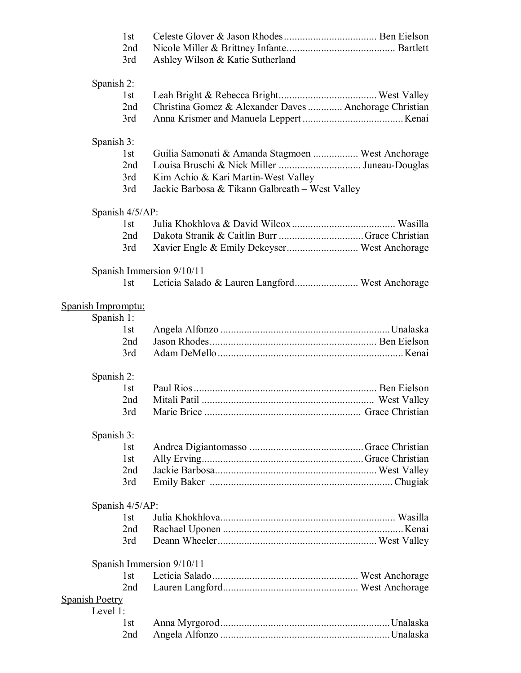|                       | 1st<br>2nd<br>3rd  | Ashley Wilson & Katie Sutherland                       |  |  |  |
|-----------------------|--------------------|--------------------------------------------------------|--|--|--|
|                       | Spanish 2:         |                                                        |  |  |  |
|                       | 1 <sub>st</sub>    |                                                        |  |  |  |
|                       | 2nd                | Christina Gomez & Alexander Daves  Anchorage Christian |  |  |  |
|                       | 3rd                |                                                        |  |  |  |
|                       | Spanish 3:         |                                                        |  |  |  |
|                       | 1st                | Guilia Samonati & Amanda Stagmoen  West Anchorage      |  |  |  |
|                       | 2nd                |                                                        |  |  |  |
|                       | 3rd                | Kim Achio & Kari Martin-West Valley                    |  |  |  |
|                       | 3rd                | Jackie Barbosa & Tikann Galbreath - West Valley        |  |  |  |
|                       | Spanish 4/5/AP:    |                                                        |  |  |  |
|                       | 1st                |                                                        |  |  |  |
|                       | 2nd                |                                                        |  |  |  |
|                       | 3rd                |                                                        |  |  |  |
|                       |                    | Spanish Immersion 9/10/11                              |  |  |  |
|                       | 1st                | Leticia Salado & Lauren Langford West Anchorage        |  |  |  |
|                       | Spanish Impromptu: |                                                        |  |  |  |
|                       | Spanish 1:         |                                                        |  |  |  |
|                       | 1st                |                                                        |  |  |  |
|                       | 2nd                |                                                        |  |  |  |
|                       | 3rd                |                                                        |  |  |  |
|                       | Spanish 2:         |                                                        |  |  |  |
|                       | 1st                |                                                        |  |  |  |
|                       | 2 <sub>nd</sub>    |                                                        |  |  |  |
|                       | 3rd                |                                                        |  |  |  |
|                       | Spanish 3:         |                                                        |  |  |  |
|                       | 1 <sub>st</sub>    |                                                        |  |  |  |
|                       | 1st                |                                                        |  |  |  |
|                       | 2nd                |                                                        |  |  |  |
|                       | 3rd                |                                                        |  |  |  |
|                       | Spanish 4/5/AP:    |                                                        |  |  |  |
|                       | 1st                |                                                        |  |  |  |
|                       | 2nd                |                                                        |  |  |  |
|                       | 3rd                |                                                        |  |  |  |
|                       |                    | Spanish Immersion 9/10/11                              |  |  |  |
|                       | 1 <sub>st</sub>    |                                                        |  |  |  |
|                       | 2nd                |                                                        |  |  |  |
| <b>Spanish Poetry</b> | Level 1:           |                                                        |  |  |  |
|                       | 1 <sub>st</sub>    |                                                        |  |  |  |
|                       | 2nd                |                                                        |  |  |  |
|                       |                    |                                                        |  |  |  |